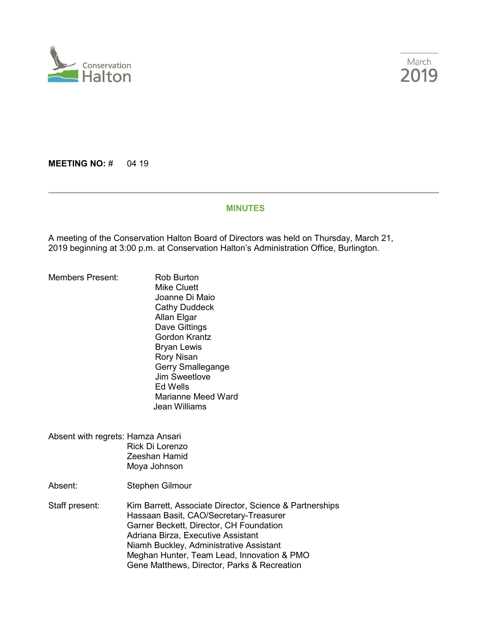



**MEETING NO: # 04 19** 

#### **MINUTES**

A meeting of the Conservation Halton Board of Directors was held on Thursday, March 21, 2019 beginning at 3:00 p.m. at Conservation Halton's Administration Office, Burlington.

Members Present: Rob Burton

- Mike Cluett Joanne Di Maio Cathy Duddeck Allan Elgar Dave Gittings Gordon Krantz Bryan Lewis Rory Nisan Gerry Smallegange Jim Sweetlove Ed Wells Marianne Meed Ward Jean Williams
- Absent with regrets: Hamza Ansari Rick Di Lorenzo Zeeshan Hamid Moya Johnson

Absent: Stephen Gilmour

Staff present: Kim Barrett, Associate Director, Science & Partnerships Hassaan Basit, CAO/Secretary-Treasurer Garner Beckett, Director, CH Foundation Adriana Birza, Executive Assistant Niamh Buckley, Administrative Assistant Meghan Hunter, Team Lead, Innovation & PMO Gene Matthews, Director, Parks & Recreation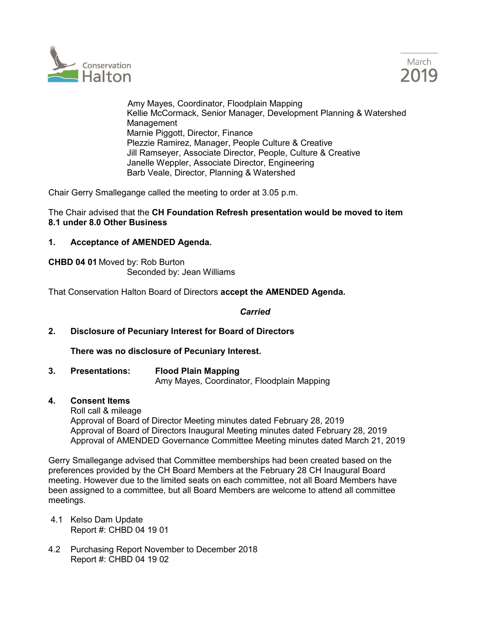



 Amy Mayes, Coordinator, Floodplain Mapping Kellie McCormack, Senior Manager, Development Planning & Watershed Management Marnie Piggott, Director, Finance Plezzie Ramirez, Manager, People Culture & Creative Jill Ramseyer, Associate Director, People, Culture & Creative Janelle Weppler, Associate Director, Engineering Barb Veale, Director, Planning & Watershed

Chair Gerry Smallegange called the meeting to order at 3.05 p.m.

## The Chair advised that the **CH Foundation Refresh presentation would be moved to item 8.1 under 8.0 Other Business**

## **1. Acceptance of AMENDED Agenda.**

**CHBD 04 01** Moved by: Rob Burton Seconded by: Jean Williams

That Conservation Halton Board of Directors **accept the AMENDED Agenda.** 

*Carried*

### **2. Disclosure of Pecuniary Interest for Board of Directors**

**There was no disclosure of Pecuniary Interest.**

- **3. Presentations: Flood Plain Mapping** Amy Mayes, Coordinator, Floodplain Mapping
- **4. Consent Items**

Roll call & mileage Approval of Board of Director Meeting minutes dated February 28, 2019 Approval of Board of Directors Inaugural Meeting minutes dated February 28, 2019 Approval of AMENDED Governance Committee Meeting minutes dated March 21, 2019

Gerry Smallegange advised that Committee memberships had been created based on the preferences provided by the CH Board Members at the February 28 CH Inaugural Board meeting. However due to the limited seats on each committee, not all Board Members have been assigned to a committee, but all Board Members are welcome to attend all committee meetings.

- 4.1 Kelso Dam Update Report #: CHBD 04 19 01
- 4.2 Purchasing Report November to December 2018 Report #: CHBD 04 19 02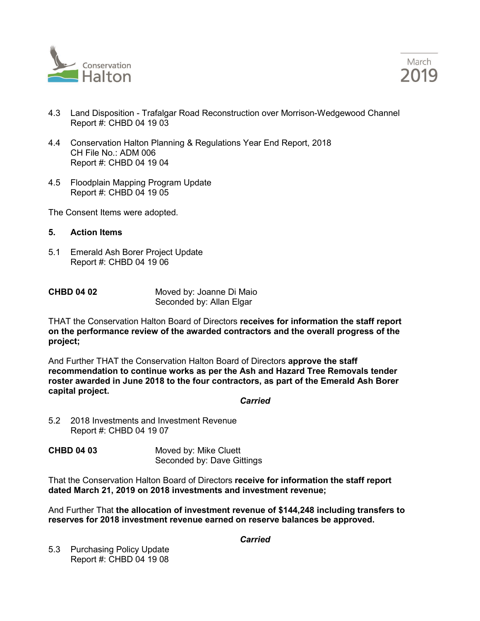



- 4.3 Land Disposition Trafalgar Road Reconstruction over Morrison-Wedgewood Channel Report #: CHBD 04 19 03
- 4.4 Conservation Halton Planning & Regulations Year End Report, 2018 CH File No.: ADM 006 Report #: CHBD 04 19 04
- 4.5 Floodplain Mapping Program Update Report #: CHBD 04 19 05

The Consent Items were adopted.

- **5. Action Items**
- 5.1 Emerald Ash Borer Project Update Report #: CHBD 04 19 06

| <b>CHBD 04 02</b> | Moved by: Joanne Di Maio |
|-------------------|--------------------------|
|                   | Seconded by: Allan Elgar |

THAT the Conservation Halton Board of Directors **receives for information the staff report on the performance review of the awarded contractors and the overall progress of the project;** 

And Further THAT the Conservation Halton Board of Directors **approve the staff recommendation to continue works as per the Ash and Hazard Tree Removals tender roster awarded in June 2018 to the four contractors, as part of the Emerald Ash Borer capital project.**

### *Carried*

- 5.2 2018 Investments and Investment Revenue Report #: CHBD 04 19 07
- **CHBD 04 03** Moved by: Mike Cluett Seconded by: Dave Gittings

That the Conservation Halton Board of Directors **receive for information the staff report dated March 21, 2019 on 2018 investments and investment revenue;**

And Further That **the allocation of investment revenue of \$144,248 including transfers to reserves for 2018 investment revenue earned on reserve balances be approved.**

*Carried*

5.3 Purchasing Policy Update Report #: CHBD 04 19 08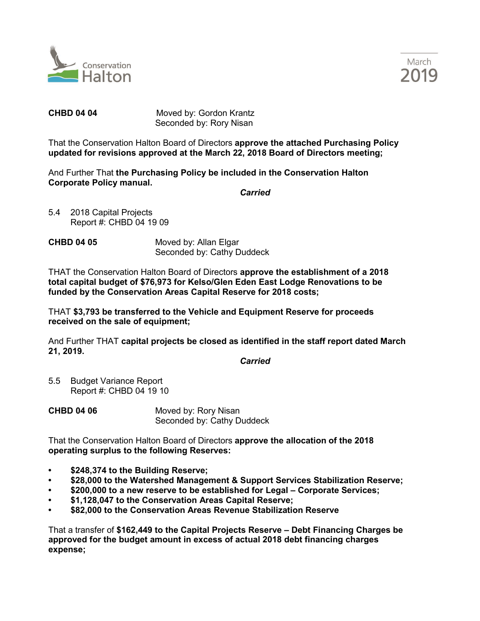



**CHBD 04 04** Moved by: Gordon Krantz Seconded by: Rory Nisan

That the Conservation Halton Board of Directors **approve the attached Purchasing Policy updated for revisions approved at the March 22, 2018 Board of Directors meeting;**

And Further That **the Purchasing Policy be included in the Conservation Halton Corporate Policy manual.**

*Carried*

- 5.4 2018 Capital Projects Report #: CHBD 04 19 09
- **CHBD 04 05** Moved by: Allan Elgar Seconded by: Cathy Duddeck

THAT the Conservation Halton Board of Directors **approve the establishment of a 2018 total capital budget of \$76,973 for Kelso/Glen Eden East Lodge Renovations to be funded by the Conservation Areas Capital Reserve for 2018 costs;**

THAT **\$3,793 be transferred to the Vehicle and Equipment Reserve for proceeds received on the sale of equipment;**

And Further THAT **capital projects be closed as identified in the staff report dated March 21, 2019.**

*Carried*

5.5 Budget Variance Report Report #: CHBD 04 19 10

**CHBD 04 06** Moved by: Rory Nisan Seconded by: Cathy Duddeck

That the Conservation Halton Board of Directors **approve the allocation of the 2018 operating surplus to the following Reserves:**

- **• \$248,374 to the Building Reserve;**
- **• \$28,000 to the Watershed Management & Support Services Stabilization Reserve;**
- **• \$200,000 to a new reserve to be established for Legal – Corporate Services;**
- **• \$1,128,047 to the Conservation Areas Capital Reserve;**
- **• \$82,000 to the Conservation Areas Revenue Stabilization Reserve**

That a transfer of **\$162,449 to the Capital Projects Reserve – Debt Financing Charges be approved for the budget amount in excess of actual 2018 debt financing charges expense;**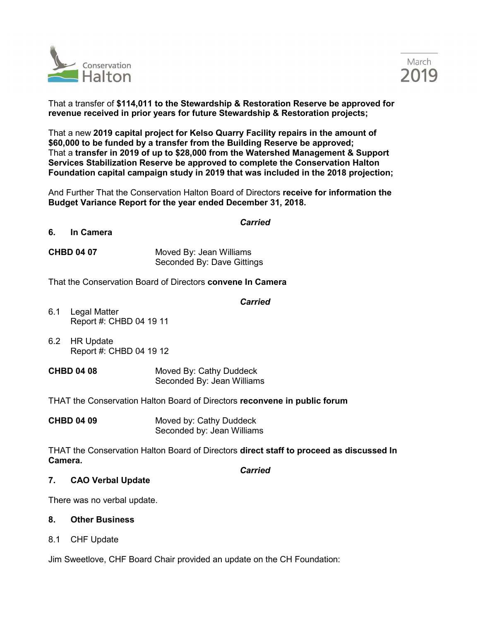



That a transfer of **\$114,011 to the Stewardship & Restoration Reserve be approved for revenue received in prior years for future Stewardship & Restoration projects;**

That a new **2019 capital project for Kelso Quarry Facility repairs in the amount of \$60,000 to be funded by a transfer from the Building Reserve be approved;** That a **transfer in 2019 of up to \$28,000 from the Watershed Management & Support Services Stabilization Reserve be approved to complete the Conservation Halton Foundation capital campaign study in 2019 that was included in the 2018 projection;**

And Further That the Conservation Halton Board of Directors **receive for information the Budget Variance Report for the year ended December 31, 2018.**

*Carried*

### **6. In Camera**

**CHBD 04 07** Moved By: Jean Williams Seconded By: Dave Gittings

That the Conservation Board of Directors **convene In Camera**

## *Carried*

- 6.1 Legal Matter Report #: CHBD 04 19 11
- 6.2 HR Update Report #: CHBD 04 19 12
- **CHBD 04 08** Moved By: Cathy Duddeck Seconded By: Jean Williams

THAT the Conservation Halton Board of Directors **reconvene in public forum**

**CHBD 04 09** Moved by: Cathy Duddeck Seconded by: Jean Williams

THAT the Conservation Halton Board of Directors **direct staff to proceed as discussed In Camera.** 

*Carried*

# **7. CAO Verbal Update**

There was no verbal update.

### **8. Other Business**

8.1 CHF Update

Jim Sweetlove, CHF Board Chair provided an update on the CH Foundation: